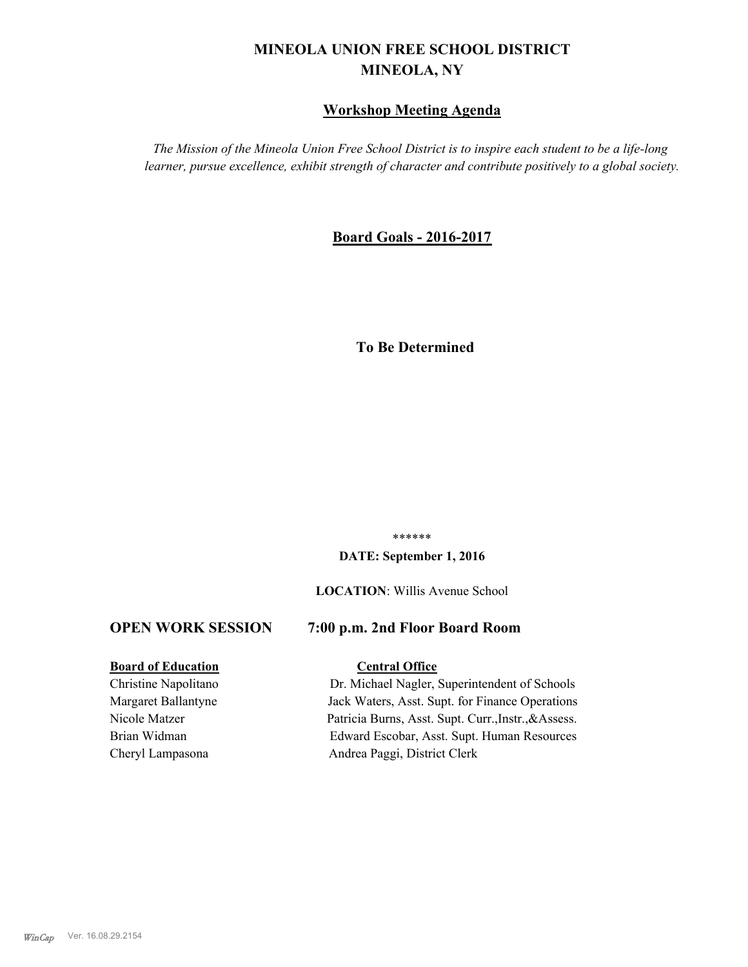# **MINEOLA UNION FREE SCHOOL DISTRICT MINEOLA, NY**

# **Workshop Meeting Agenda**

*The Mission of the Mineola Union Free School District is to inspire each student to be a life-long learner, pursue excellence, exhibit strength of character and contribute positively to a global society.*

# **Board Goals - 2016-2017**

# **To Be Determined**

\*\*\*\*\*\*

#### **DATE: September 1, 2016**

**LOCATION**: Willis Avenue School

# **OPEN WORK SESSION 7:00 p.m. 2nd Floor Board Room**

## **Board of Education Central Office**

Christine Napolitano Dr. Michael Nagler, Superintendent of Schools Margaret Ballantyne Jack Waters, Asst. Supt. for Finance Operations Nicole Matzer Patricia Burns, Asst. Supt. Curr.,Instr.,&Assess. Brian Widman Edward Escobar, Asst. Supt. Human Resources Cheryl Lampasona Andrea Paggi, District Clerk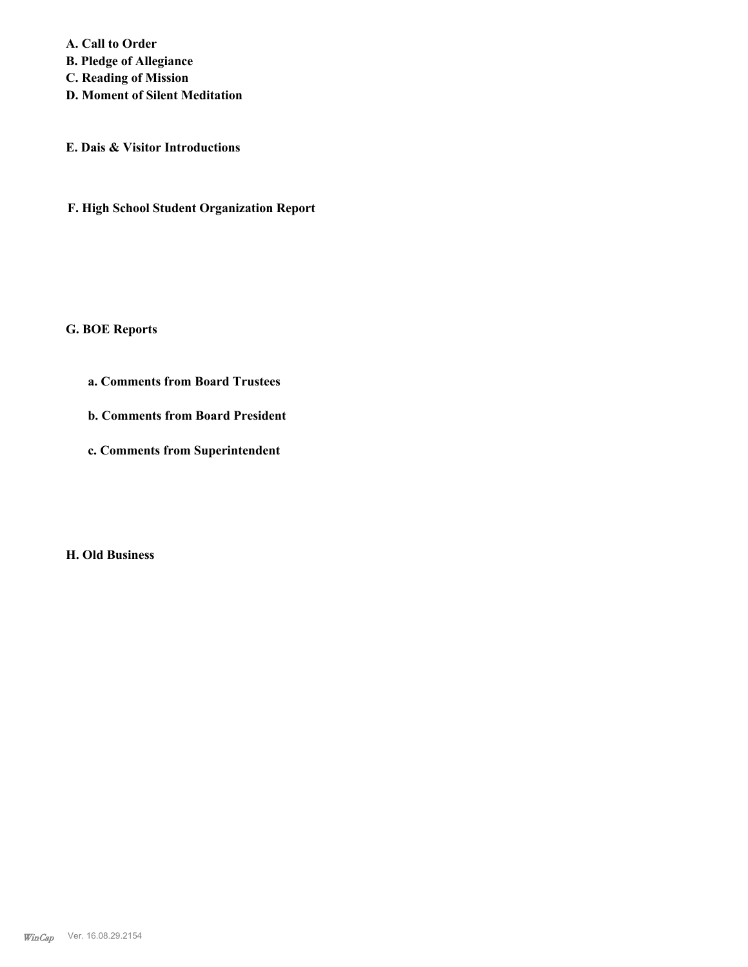**A. Call to Order B. Pledge of Allegiance C. Reading of Mission D. Moment of Silent Meditation**

**E. Dais & Visitor Introductions**

**F. High School Student Organization Report**

**G. BOE Reports**

**a. Comments from Board Trustees**

**b. Comments from Board President**

**c. Comments from Superintendent**

**H. Old Business**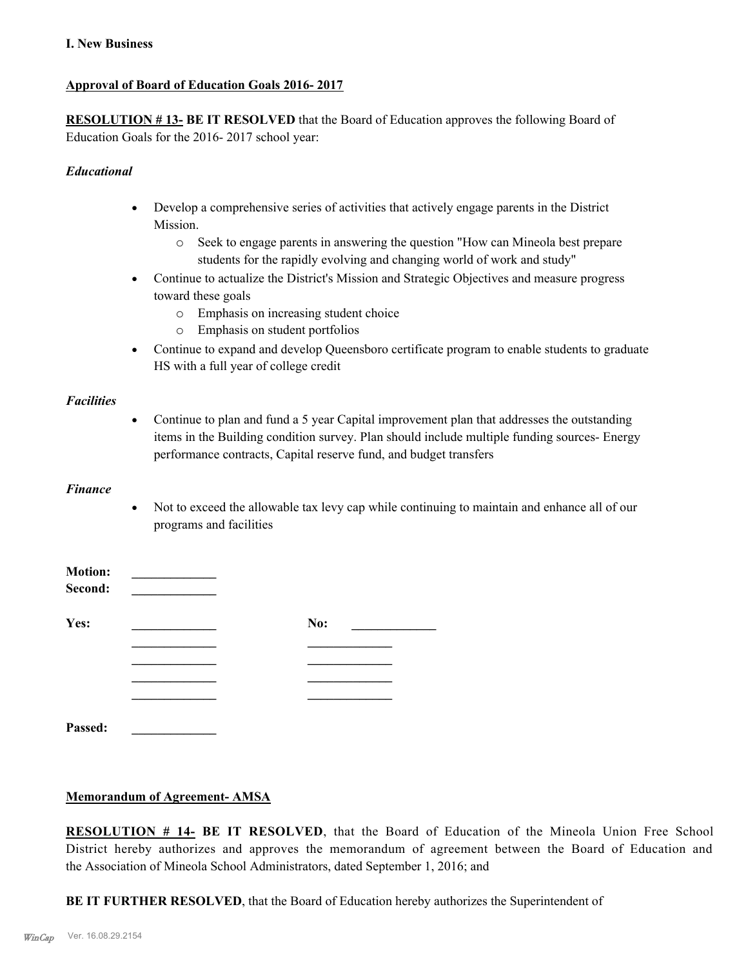## **I. New Business**

# **Approval of Board of Education Goals 2016- 2017**

**RESOLUTION # 13- BE IT RESOLVED** that the Board of Education approves the following Board of Education Goals for the 2016- 2017 school year:

## *Educational*

- · Develop a comprehensive series of activities that actively engage parents in the District Mission.
	- o Seek to engage parents in answering the question "How can Mineola best prepare students for the rapidly evolving and changing world of work and study"
- Continue to actualize the District's Mission and Strategic Objectives and measure progress toward these goals
	- o Emphasis on increasing student choice
	- o Emphasis on student portfolios
- Continue to expand and develop Queensboro certificate program to enable students to graduate HS with a full year of college credit

### *Facilities*

• Continue to plan and fund a 5 year Capital improvement plan that addresses the outstanding items in the Building condition survey. Plan should include multiple funding sources- Energy performance contracts, Capital reserve fund, and budget transfers

#### *Finance*

· Not to exceed the allowable tax levy cap while continuing to maintain and enhance all of our programs and facilities

| <b>Motion:</b><br>Second: |     |  |
|---------------------------|-----|--|
| Yes:                      | No: |  |
|                           |     |  |
|                           |     |  |
|                           |     |  |
|                           |     |  |
| Passed:                   |     |  |

### **Memorandum of Agreement- AMSA**

**RESOLUTION # 14- BE IT RESOLVED**, that the Board of Education of the Mineola Union Free School District hereby authorizes and approves the memorandum of agreement between the Board of Education and the Association of Mineola School Administrators, dated September 1, 2016; and

**BE IT FURTHER RESOLVED**, that the Board of Education hereby authorizes the Superintendent of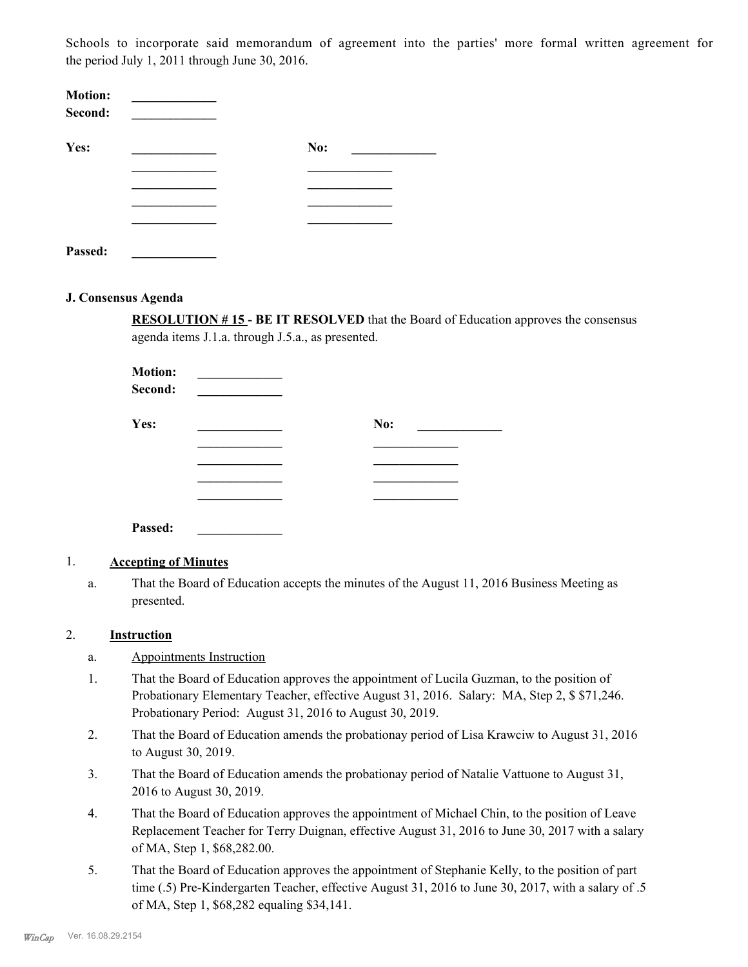Schools to incorporate said memorandum of agreement into the parties' more formal written agreement for the period July 1, 2011 through June 30, 2016.

| <b>Motion:</b><br>Second: |     |  |
|---------------------------|-----|--|
| Yes:                      | No: |  |
|                           |     |  |
|                           |     |  |
|                           |     |  |
|                           |     |  |
| Passed:                   |     |  |

#### **J. Consensus Agenda**

**RESOLUTION # 15 - BE IT RESOLVED** that the Board of Education approves the consensus agenda items J.1.a. through J.5.a., as presented.

| <b>Motion:</b><br>Second: |     |
|---------------------------|-----|
| Yes:                      | No: |
|                           |     |
|                           |     |
|                           |     |
|                           |     |
|                           |     |

### 1. **Accepting of Minutes**

**Passed: \_\_\_\_\_\_\_\_\_\_\_\_\_**

That the Board of Education accepts the minutes of the August 11, 2016 Business Meeting as presented. a.

### 2. **Instruction**

- a. Appointments Instruction
- That the Board of Education approves the appointment of Lucila Guzman, to the position of Probationary Elementary Teacher, effective August 31, 2016. Salary: MA, Step 2, \$ \$71,246. Probationary Period: August 31, 2016 to August 30, 2019. 1.
- That the Board of Education amends the probationay period of Lisa Krawciw to August 31, 2016 to August 30, 2019. 2.
- That the Board of Education amends the probationay period of Natalie Vattuone to August 31, 2016 to August 30, 2019. 3.
- That the Board of Education approves the appointment of Michael Chin, to the position of Leave Replacement Teacher for Terry Duignan, effective August 31, 2016 to June 30, 2017 with a salary of MA, Step 1, \$68,282.00. 4.
- That the Board of Education approves the appointment of Stephanie Kelly, to the position of part time (.5) Pre-Kindergarten Teacher, effective August 31, 2016 to June 30, 2017, with a salary of .5 of MA, Step 1, \$68,282 equaling \$34,141. 5.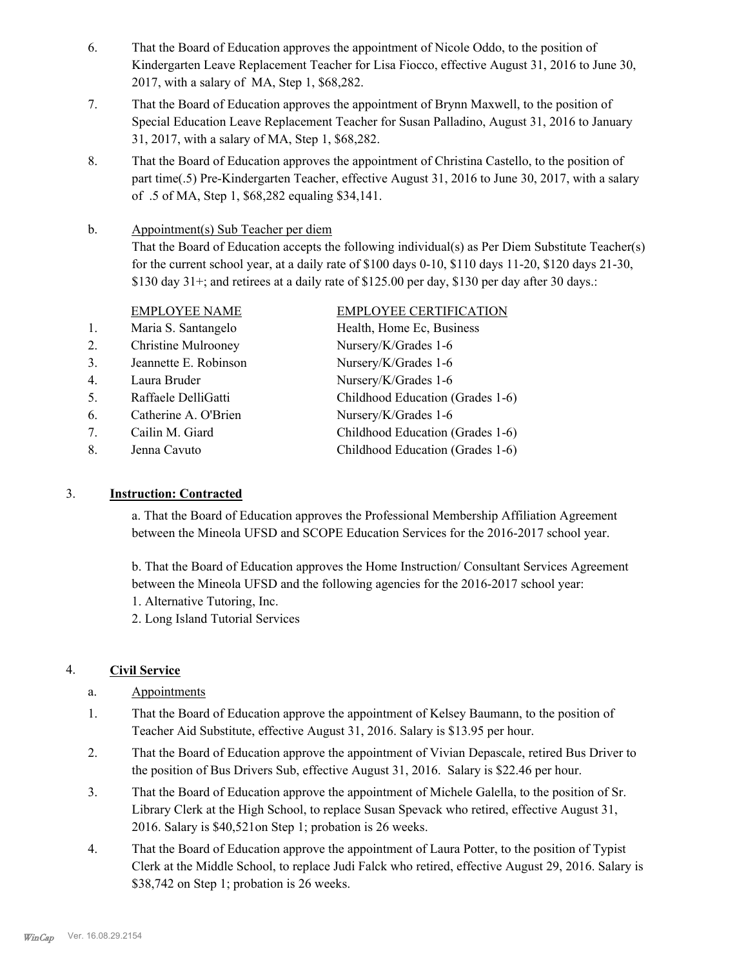- That the Board of Education approves the appointment of Nicole Oddo, to the position of Kindergarten Leave Replacement Teacher for Lisa Fiocco, effective August 31, 2016 to June 30, 2017, with a salary of MA, Step 1, \$68,282. 6.
- That the Board of Education approves the appointment of Brynn Maxwell, to the position of Special Education Leave Replacement Teacher for Susan Palladino, August 31, 2016 to January 31, 2017, with a salary of MA, Step 1, \$68,282. 7.
- That the Board of Education approves the appointment of Christina Castello, to the position of part time(.5) Pre-Kindergarten Teacher, effective August 31, 2016 to June 30, 2017, with a salary of .5 of MA, Step 1, \$68,282 equaling \$34,141. 8.

Appointment(s) Sub Teacher per diem That the Board of Education accepts the following individual(s) as Per Diem Substitute Teacher(s) for the current school year, at a daily rate of  $$100$  days  $0-10$ ,  $$110$  days  $11-20$ ,  $$120$  days  $21-30$ , \$130 day 31+; and retirees at a daily rate of \$125.00 per day, \$130 per day after 30 days.: b.

|    | <b>EMPLOYEE NAME</b>       | <b>EMPLOYEE CERTIFICATION</b>    |
|----|----------------------------|----------------------------------|
| 1. | Maria S. Santangelo        | Health, Home Ec, Business        |
| 2. | <b>Christine Mulrooney</b> | Nursery/K/Grades 1-6             |
| 3. | Jeannette E. Robinson      | Nursery/K/Grades 1-6             |
| 4. | Laura Bruder               | Nursery/K/Grades 1-6             |
| 5. | Raffaele DelliGatti        | Childhood Education (Grades 1-6) |
| 6. | Catherine A. O'Brien       | Nursery/K/Grades 1-6             |
| 7. | Cailin M. Giard            | Childhood Education (Grades 1-6) |
| 8. | Jenna Cavuto               | Childhood Education (Grades 1-6) |
|    |                            |                                  |

# 3. **Instruction: Contracted**

a. That the Board of Education approves the Professional Membership Affiliation Agreement between the Mineola UFSD and SCOPE Education Services for the 2016-2017 school year.

b. That the Board of Education approves the Home Instruction/ Consultant Services Agreement between the Mineola UFSD and the following agencies for the 2016-2017 school year: 1. Alternative Tutoring, Inc.

2. Long Island Tutorial Services

# 4. **Civil Service**

# a. Appointments

- That the Board of Education approve the appointment of Kelsey Baumann, to the position of Teacher Aid Substitute, effective August 31, 2016. Salary is \$13.95 per hour. 1.
- That the Board of Education approve the appointment of Vivian Depascale, retired Bus Driver to the position of Bus Drivers Sub, effective August 31, 2016. Salary is \$22.46 per hour. 2.
- That the Board of Education approve the appointment of Michele Galella, to the position of Sr. Library Clerk at the High School, to replace Susan Spevack who retired, effective August 31, 2016. Salary is \$40,521on Step 1; probation is 26 weeks. 3.
- That the Board of Education approve the appointment of Laura Potter, to the position of Typist Clerk at the Middle School, to replace Judi Falck who retired, effective August 29, 2016. Salary is \$38,742 on Step 1; probation is 26 weeks. 4.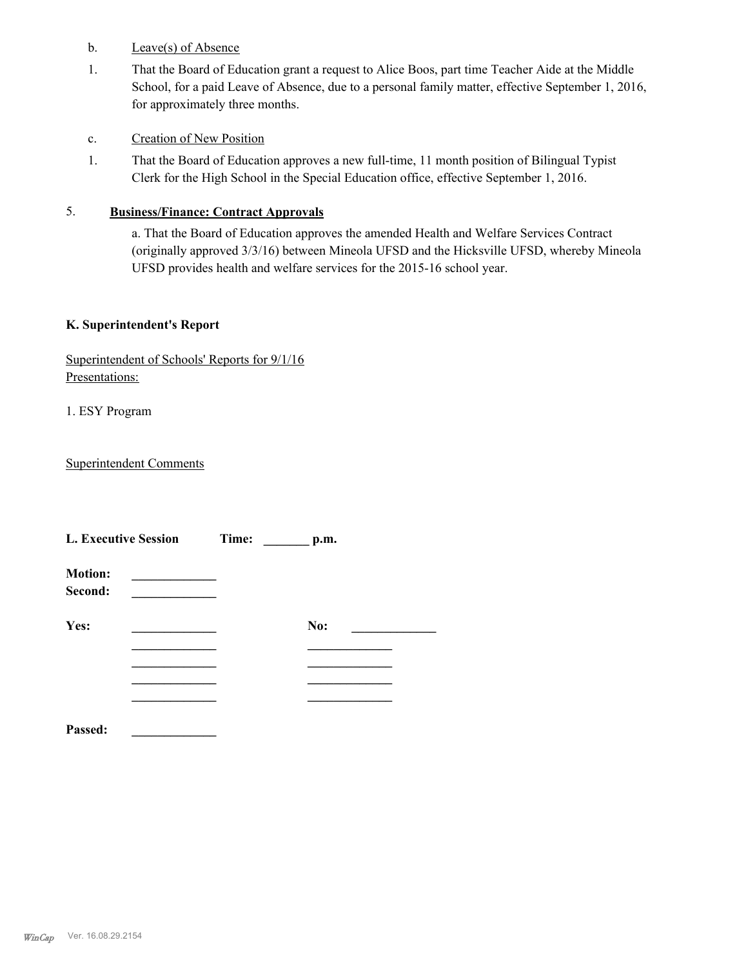- b. Leave(s) of Absence
- That the Board of Education grant a request to Alice Boos, part time Teacher Aide at the Middle School, for a paid Leave of Absence, due to a personal family matter, effective September 1, 2016, for approximately three months. 1.
- c. Creation of New Position
- That the Board of Education approves a new full-time, 11 month position of Bilingual Typist Clerk for the High School in the Special Education office, effective September 1, 2016. 1.

## 5. **Business/Finance: Contract Approvals**

a. That the Board of Education approves the amended Health and Welfare Services Contract (originally approved 3/3/16) between Mineola UFSD and the Hicksville UFSD, whereby Mineola UFSD provides health and welfare services for the 2015-16 school year.

## **K. Superintendent's Report**

| Superintendent of Schools' Reports for 9/1/16 |  |  |
|-----------------------------------------------|--|--|
| Presentations:                                |  |  |

1. ESY Program

Superintendent Comments

| <b>L. Executive Session</b> |  | Time: | p.m. |  |
|-----------------------------|--|-------|------|--|
| <b>Motion:</b><br>Second:   |  |       |      |  |
| Yes:                        |  |       | No:  |  |
|                             |  |       |      |  |
|                             |  |       |      |  |
| Passed:                     |  |       |      |  |